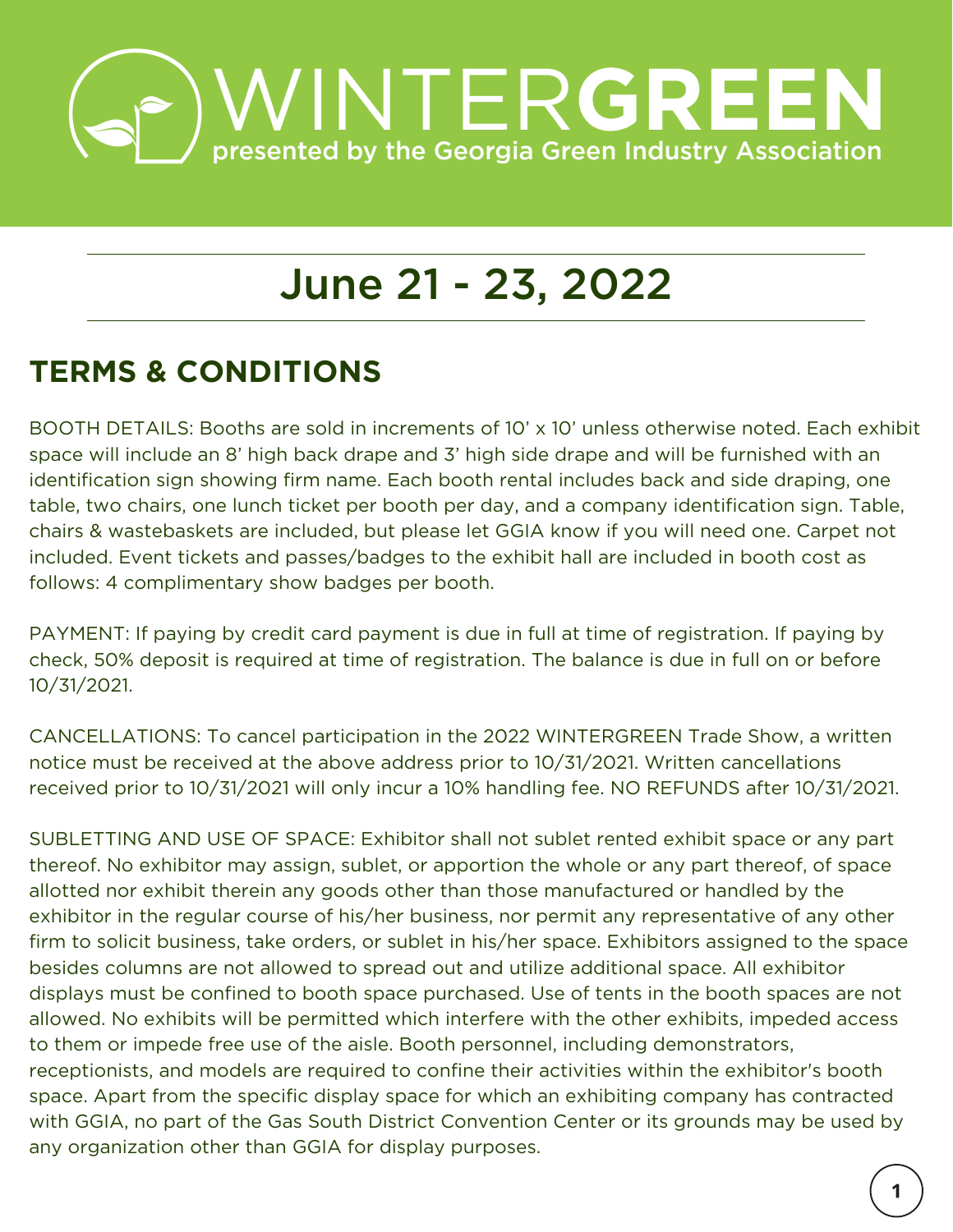

## June 21 - 23, 2022

## **TERMS & CONDITIONS**

BOOTH DETAILS: Booths are sold in increments of 10' x 10' unless otherwise noted. Each exhibit space will include an 8' high back drape and 3' high side drape and will be furnished with an identification sign showing firm name. Each booth rental includes back and side draping, one table, two chairs, one lunch ticket per booth per day, and a company identification sign. Table, chairs & wastebaskets are included, but please let GGIA know if you will need one. Carpet not included. Event tickets and passes/badges to the exhibit hall are included in booth cost as follows: 4 complimentary show badges per booth.

PAYMENT: If paying by credit card payment is due in full at time of registration. If paying by check, 50% deposit is required at time of registration. The balance is due in full on or before 10/31/2021.

CANCELLATIONS: To cancel participation in the 2022 WINTERGREEN Trade Show, a written notice must be received at the above address prior to 10/31/2021. Written cancellations received prior to 10/31/2021 will only incur a 10% handling fee. NO REFUNDS after 10/31/2021.

SUBLETTING AND USE OF SPACE: Exhibitor shall not sublet rented exhibit space or any part thereof. No exhibitor may assign, sublet, or apportion the whole or any part thereof, of space allotted nor exhibit therein any goods other than those manufactured or handled by the exhibitor in the regular course of his/her business, nor permit any representative of any other firm to solicit business, take orders, or sublet in his/her space. Exhibitors assigned to the space besides columns are not allowed to spread out and utilize additional space. All exhibitor displays must be confined to booth space purchased. Use of tents in the booth spaces are not allowed. No exhibits will be permitted which interfere with the other exhibits, impeded access to them or impede free use of the aisle. Booth personnel, including demonstrators, receptionists, and models are required to confine their activities within the exhibitor's booth space. Apart from the specific display space for which an exhibiting company has contracted with GGIA, no part of the Gas South District Convention Center or its grounds may be used by any organization other than GGIA for display purposes.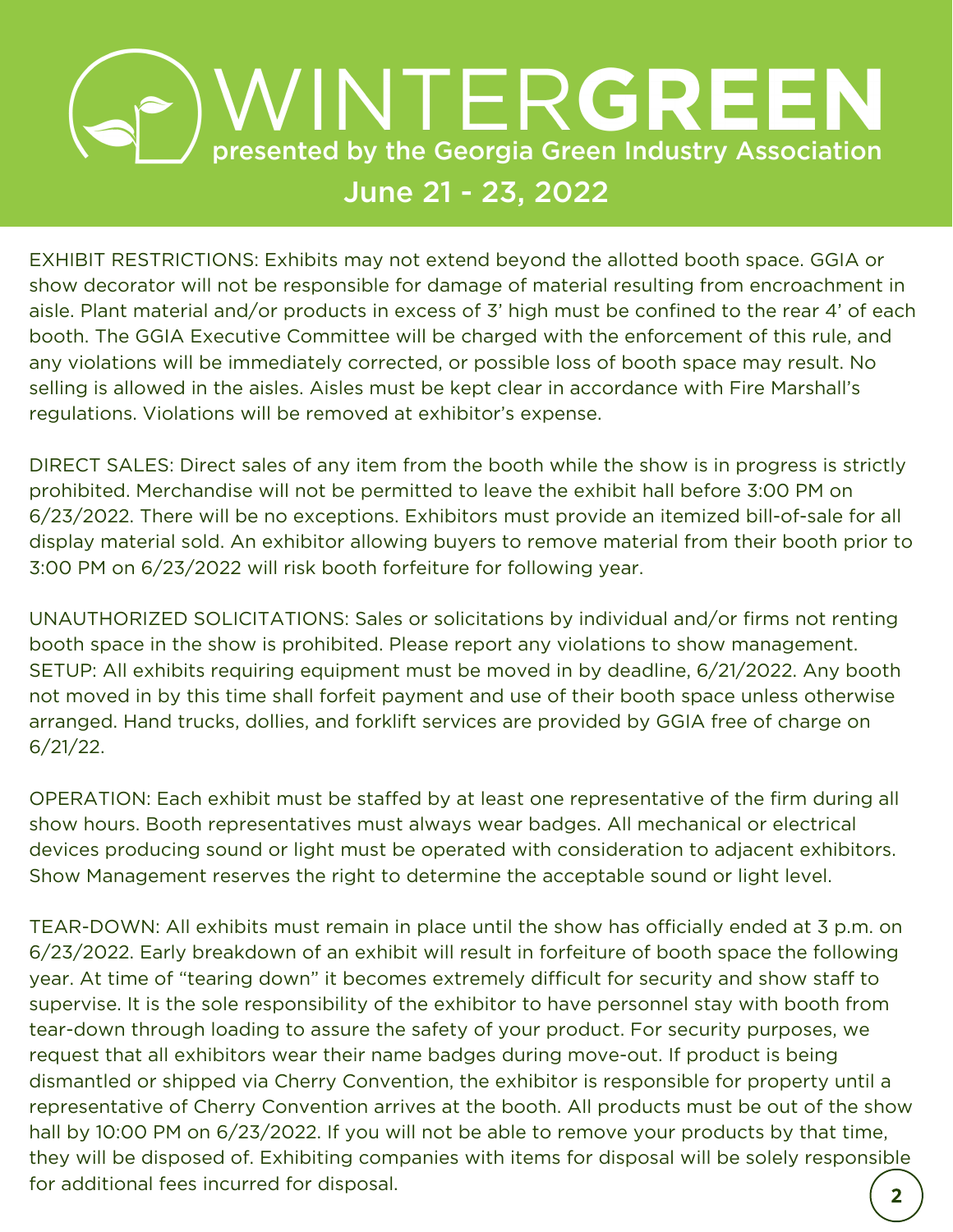## **BUSINTERGREEN** June 21 - 23, 2022

EXHIBIT RESTRICTIONS: Exhibits may not extend beyond the allotted booth space. GGIA or show decorator will not be responsible for damage of material resulting from encroachment in aisle. Plant material and/or products in excess of 3' high must be confined to the rear 4' of each booth. The GGIA Executive Committee will be charged with the enforcement of this rule, and any violations will be immediately corrected, or possible loss of booth space may result. No selling is allowed in the aisles. Aisles must be kept clear in accordance with Fire Marshall's regulations. Violations will be removed at exhibitor's expense.

DIRECT SALES: Direct sales of any item from the booth while the show is in progress is strictly prohibited. Merchandise will not be permitted to leave the exhibit hall before 3:00 PM on 6/23/2022. There will be no exceptions. Exhibitors must provide an itemized bill-of-sale for all display material sold. An exhibitor allowing buyers to remove material from their booth prior to 3:00 PM on 6/23/2022 will risk booth forfeiture for following year.

UNAUTHORIZED SOLICITATIONS: Sales or solicitations by individual and/or firms not renting booth space in the show is prohibited. Please report any violations to show management. SETUP: All exhibits requiring equipment must be moved in by deadline, 6/21/2022. Any booth not moved in by this time shall forfeit payment and use of their booth space unless otherwise arranged. Hand trucks, dollies, and forklift services are provided by GGIA free of charge on 6/21/22.

OPERATION: Each exhibit must be staffed by at least one representative of the firm during all show hours. Booth representatives must always wear badges. All mechanical or electrical devices producing sound or light must be operated with consideration to adjacent exhibitors. Show Management reserves the right to determine the acceptable sound or light level.

TEAR-DOWN: All exhibits must remain in place until the show has officially ended at 3 p.m. on 6/23/2022. Early breakdown of an exhibit will result in forfeiture of booth space the following year. At time of "tearing down" it becomes extremely difficult for security and show staff to supervise. It is the sole responsibility of the exhibitor to have personnel stay with booth from tear-down through loading to assure the safety of your product. For security purposes, we request that all exhibitors wear their name badges during move-out. If product is being dismantled or shipped via Cherry Convention, the exhibitor is responsible for property until a representative of Cherry Convention arrives at the booth. All products must be out of the show hall by 10:00 PM on 6/23/2022. If you will not be able to remove your products by that time, they will be disposed of. Exhibiting companies with items for disposal will be solely responsible for additional fees incurred for disposal.